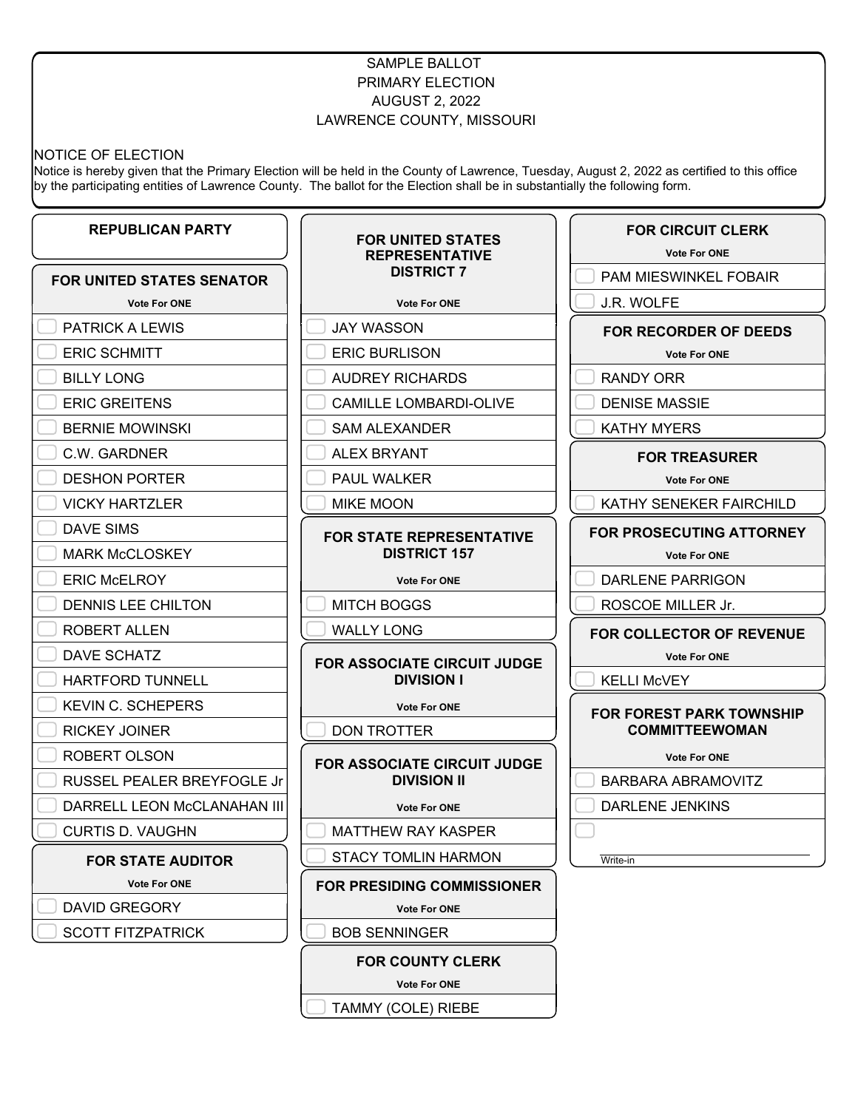# SAMPLE BALLOT PRIMARY ELECTION AUGUST 2, 2022 LAWRENCE COUNTY, MISSOURI

## NOTICE OF ELECTION

Notice is hereby given that the Primary Election will be held in the County of Lawrence, Tuesday, August 2, 2022 as certified to this office by the participating entities of Lawrence County. The ballot for the Election shall be in substantially the following form.

| <b>REPUBLICAN PARTY</b>           | <b>FOR UNITED STATES</b><br><b>REPRESENTATIVE</b>      | <b>FOR CIRCUIT CLERK</b><br><b>Vote For ONE</b> |
|-----------------------------------|--------------------------------------------------------|-------------------------------------------------|
| <b>FOR UNITED STATES SENATOR</b>  | <b>DISTRICT 7</b>                                      | <b>PAM MIESWINKEL FOBAIR</b>                    |
| <b>Vote For ONE</b>               | <b>Vote For ONE</b>                                    | J.R. WOLFE                                      |
| <b>PATRICK A LEWIS</b>            | <b>JAY WASSON</b>                                      | <b>FOR RECORDER OF DEEDS</b>                    |
| <b>ERIC SCHMITT</b>               | <b>ERIC BURLISON</b>                                   | <b>Vote For ONE</b>                             |
| <b>BILLY LONG</b>                 | <b>AUDREY RICHARDS</b>                                 | RANDY ORR                                       |
| <b>ERIC GREITENS</b>              | <b>CAMILLE LOMBARDI-OLIVE</b>                          | <b>DENISE MASSIE</b>                            |
| <b>BERNIE MOWINSKI</b>            | <b>SAM ALEXANDER</b>                                   | <b>KATHY MYERS</b>                              |
| C.W. GARDNER                      | <b>ALEX BRYANT</b>                                     | <b>FOR TREASURER</b>                            |
| <b>DESHON PORTER</b>              | PAUL WALKER                                            | <b>Vote For ONE</b>                             |
| <b>VICKY HARTZLER</b>             | <b>MIKE MOON</b>                                       | KATHY SENEKER FAIRCHILD                         |
| DAVE SIMS                         | <b>FOR STATE REPRESENTATIVE</b><br><b>DISTRICT 157</b> | <b>FOR PROSECUTING ATTORNEY</b>                 |
| <b>MARK McCLOSKEY</b>             |                                                        | <b>Vote For ONE</b>                             |
| <b>ERIC McELROY</b>               | <b>Vote For ONE</b>                                    | <b>DARLENE PARRIGON</b>                         |
| DENNIS LEE CHILTON                | <b>MITCH BOGGS</b>                                     | ROSCOE MILLER Jr.                               |
| <b>ROBERT ALLEN</b>               | <b>WALLY LONG</b>                                      | FOR COLLECTOR OF REVENUE                        |
| DAVE SCHATZ                       | FOR ASSOCIATE CIRCUIT JUDGE                            | <b>Vote For ONE</b>                             |
| <b>HARTFORD TUNNELL</b>           | <b>DIVISION I</b>                                      | <b>KELLI McVEY</b>                              |
| <b>KEVIN C. SCHEPERS</b>          | <b>Vote For ONE</b>                                    | <b>FOR FOREST PARK TOWNSHIP</b>                 |
| <b>RICKEY JOINER</b>              | <b>DON TROTTER</b>                                     | <b>COMMITTEEWOMAN</b>                           |
| ROBERT OLSON                      | <b>FOR ASSOCIATE CIRCUIT JUDGE</b>                     | <b>Vote For ONE</b>                             |
| <b>RUSSEL PEALER BREYFOGLE Jr</b> | <b>DIVISION II</b>                                     | <b>BARBARA ABRAMOVITZ</b>                       |
| DARRELL LEON McCLANAHAN III       | <b>Vote For ONE</b>                                    | <b>DARLENE JENKINS</b>                          |
| <b>CURTIS D. VAUGHN</b>           | <b>MATTHEW RAY KASPER</b>                              |                                                 |
| <b>FOR STATE AUDITOR</b>          | <b>STACY TOMLIN HARMON</b>                             | Write-in                                        |
| <b>Vote For ONE</b>               | <b>FOR PRESIDING COMMISSIONER</b>                      |                                                 |
| <b>DAVID GREGORY</b>              | <b>Vote For ONE</b>                                    |                                                 |
| <b>SCOTT FITZPATRICK</b>          | <b>BOB SENNINGER</b>                                   |                                                 |
|                                   | <b>FOR COUNTY CLERK</b>                                |                                                 |
|                                   | <b>Vote For ONE</b>                                    |                                                 |

TAMMY (COLE) RIEBE